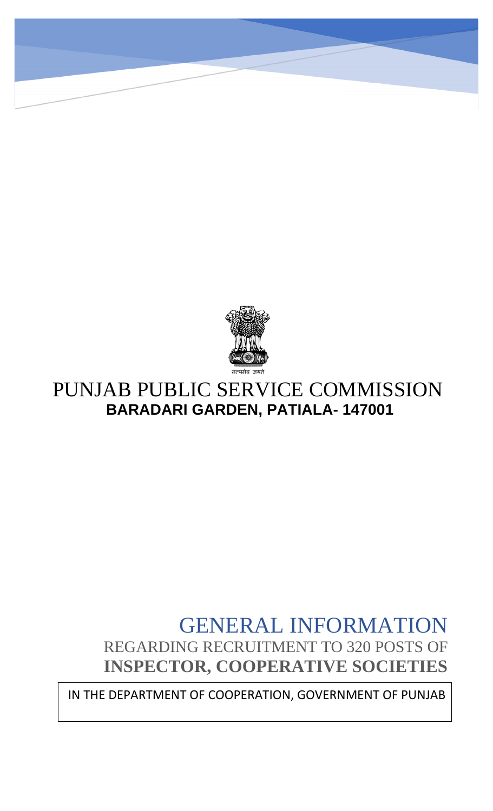

# PUNJAB PUBLIC SERVICE COMMISSION **BARADARI GARDEN, PATIALA- 147001**

# GENERAL INFORMATION REGARDING RECRUITMENT TO 320 POSTS OF **INSPECTOR, COOPERATIVE SOCIETIES**

IN THE DEPARTMENT OF COOPERATION, GOVERNMENT OF PUNJAB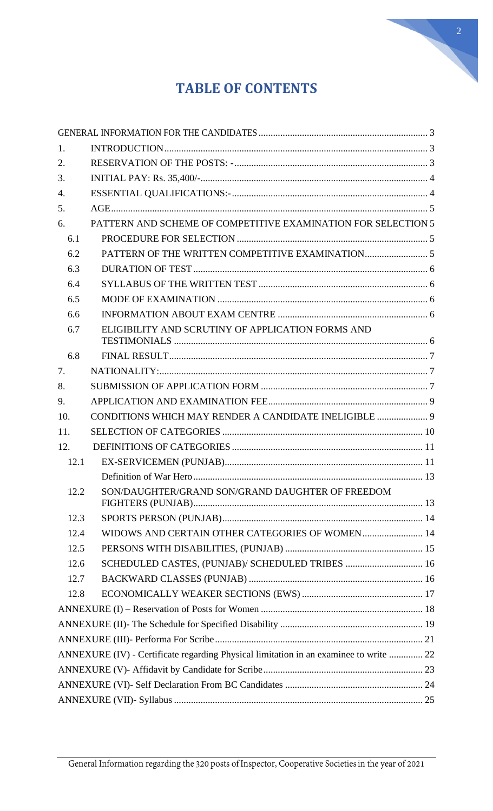

# **TABLE OF CONTENTS**

| 1.   |                                                                                       |  |
|------|---------------------------------------------------------------------------------------|--|
| 2.   |                                                                                       |  |
| 3.   |                                                                                       |  |
| 4.   |                                                                                       |  |
| 5.   |                                                                                       |  |
| 6.   | PATTERN AND SCHEME OF COMPETITIVE EXAMINATION FOR SELECTION 5                         |  |
| 6.1  |                                                                                       |  |
| 6.2  |                                                                                       |  |
| 6.3  |                                                                                       |  |
| 6.4  |                                                                                       |  |
| 6.5  |                                                                                       |  |
| 6.6  |                                                                                       |  |
| 6.7  | ELIGIBILITY AND SCRUTINY OF APPLICATION FORMS AND                                     |  |
| 6.8  |                                                                                       |  |
| 7.   |                                                                                       |  |
| 8.   |                                                                                       |  |
| 9.   |                                                                                       |  |
| 10.  | CONDITIONS WHICH MAY RENDER A CANDIDATE INELIGIBLE  9                                 |  |
| 11.  |                                                                                       |  |
| 12.  |                                                                                       |  |
| 12.1 |                                                                                       |  |
|      |                                                                                       |  |
| 12.2 | SON/DAUGHTER/GRAND SON/GRAND DAUGHTER OF FREEDOM                                      |  |
| 12.3 |                                                                                       |  |
| 12.4 | WIDOWS AND CERTAIN OTHER CATEGORIES OF WOMEN 14                                       |  |
| 12.5 |                                                                                       |  |
| 12.6 | SCHEDULED CASTES, (PUNJAB)/ SCHEDULED TRIBES  16                                      |  |
| 12.7 |                                                                                       |  |
| 12.8 |                                                                                       |  |
|      |                                                                                       |  |
|      |                                                                                       |  |
|      |                                                                                       |  |
|      | ANNEXURE (IV) - Certificate regarding Physical limitation in an examinee to write  22 |  |
|      |                                                                                       |  |
|      |                                                                                       |  |
|      |                                                                                       |  |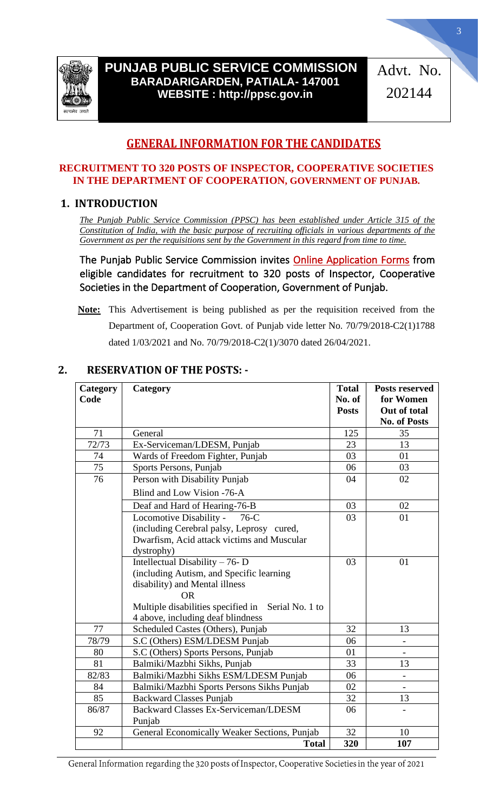

# **PUNJAB PUBLIC SERVICE COMMISSION BARADARIGARDEN, PATIALA- 147001 WEBSITE : http://ppsc.gov.in**

Advt. No. 202144

# **GENERAL INFORMATION FOR THE CANDIDATES**

#### <span id="page-2-0"></span>**RECRUITMENT TO 320 POSTS OF INSPECTOR, COOPERATIVE SOCIETIES IN THE DEPARTMENT OF COOPERATION, GOVERNMENT OF PUNJAB.**

## <span id="page-2-1"></span>**1. INTRODUCTION**

*The Punjab Public Service Commission (PPSC) has been established under Article 315 of the Constitution of India, with the basic purpose of recruiting officials in various departments of the Government as per the requisitions sent by the Government in this regard from time to time.*

The Punjab Public Service Commission invites Online Application Forms from eligible candidates for recruitment to 320 posts of Inspector, Cooperative Societies in the Department of Cooperation, Government of Punjab.

**Note:** This Advertisement is being published as per the requisition received from the Department of, Cooperation Govt. of Punjab vide letter No. 70/79/2018-C2(1)1788 dated 1/03/2021 and No. 70/79/2018-C2(1)/3070 dated 26/04/2021.

| Category<br>Code | Category                                              | <b>Total</b><br>No. of<br><b>Posts</b> | <b>Posts reserved</b><br>for Women<br>Out of total |
|------------------|-------------------------------------------------------|----------------------------------------|----------------------------------------------------|
|                  |                                                       |                                        | <b>No. of Posts</b>                                |
| 71               | General                                               | 125                                    | 35                                                 |
| 72/73            | Ex-Serviceman/LDESM, Punjab                           | 23                                     | 13                                                 |
| 74               | Wards of Freedom Fighter, Punjab                      | 03                                     | 01                                                 |
| 75               | Sports Persons, Punjab                                | 06                                     | 03                                                 |
| 76               | Person with Disability Punjab                         | 04                                     | 02                                                 |
|                  | Blind and Low Vision -76-A                            |                                        |                                                    |
|                  | Deaf and Hard of Hearing-76-B                         | 03                                     | 02                                                 |
|                  | Locomotive Disability -<br>$76-C$                     | 03                                     | 01                                                 |
|                  | (including Cerebral palsy, Leprosy cured,             |                                        |                                                    |
|                  | Dwarfism, Acid attack victims and Muscular            |                                        |                                                    |
|                  | dystrophy)                                            |                                        |                                                    |
|                  | Intellectual Disability - 76- D                       | 03                                     | 01                                                 |
|                  | (including Autism, and Specific learning              |                                        |                                                    |
|                  | disability) and Mental illness                        |                                        |                                                    |
|                  | <b>OR</b>                                             |                                        |                                                    |
|                  | Multiple disabilities specified in<br>Serial No. 1 to |                                        |                                                    |
|                  | 4 above, including deaf blindness                     |                                        |                                                    |
| 77               | Scheduled Castes (Others), Punjab                     | 32                                     | 13                                                 |
| 78/79            | S.C (Others) ESM/LDESM Punjab                         | 06                                     |                                                    |
| 80               | S.C (Others) Sports Persons, Punjab                   | 01                                     |                                                    |
| 81               | Balmiki/Mazbhi Sikhs, Punjab                          | 33                                     | 13                                                 |
| 82/83            | Balmiki/Mazbhi Sikhs ESM/LDESM Punjab                 | 06                                     |                                                    |
| 84               | Balmiki/Mazbhi Sports Persons Sikhs Punjab            | 02                                     |                                                    |
| 85               | <b>Backward Classes Punjab</b>                        | 32                                     | 13                                                 |
| 86/87            | <b>Backward Classes Ex-Serviceman/LDESM</b>           | 06                                     |                                                    |
|                  | Punjab                                                |                                        |                                                    |
| 92               | General Economically Weaker Sections, Punjab          | 32                                     | 10                                                 |
|                  | <b>Total</b>                                          | 320                                    | 107                                                |

## <span id="page-2-2"></span>**2. RESERVATION OF THE POSTS: -**

General Information regarding the 320 posts of Inspector, Cooperative Societies in the year of 2021

3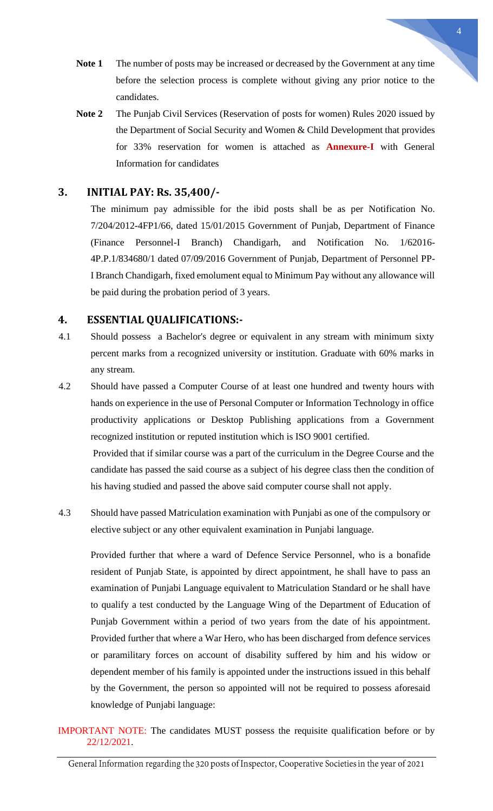- 
- **Note 1** The number of posts may be increased or decreased by the Government at any time before the selection process is complete without giving any prior notice to the candidates.
- **Note 2** The Punjab Civil Services (Reservation of posts for women) Rules 2020 issued by the Department of Social Security and Women & Child Development that provides for 33% reservation for women is attached as **Annexure-I** with General Information for candidates

## <span id="page-3-0"></span>**3. INITIAL PAY: Rs. 35,400/-**

The minimum pay admissible for the ibid posts shall be as per Notification No. 7/204/2012-4FP1/66, dated 15/01/2015 Government of Punjab, Department of Finance (Finance Personnel-I Branch) Chandigarh, and Notification No. 1/62016- 4P.P.1/834680/1 dated 07/09/2016 Government of Punjab, Department of Personnel PP-I Branch Chandigarh, fixed emolument equal to Minimum Pay without any allowance will be paid during the probation period of 3 years.

### <span id="page-3-1"></span>**4. ESSENTIAL QUALIFICATIONS:-**

- 4.1 Should possess a Bachelor's degree or equivalent in any stream with minimum sixty percent marks from a recognized university or institution. Graduate with 60% marks in any stream.
- 4.2 Should have passed a Computer Course of at least one hundred and twenty hours with hands on experience in the use of Personal Computer or Information Technology in office productivity applications or Desktop Publishing applications from a Government recognized institution or reputed institution which is ISO 9001 certified. Provided that if similar course was a part of the curriculum in the Degree Course and the

candidate has passed the said course as a subject of his degree class then the condition of his having studied and passed the above said computer course shall not apply.

4.3 Should have passed Matriculation examination with Punjabi as one of the compulsory or elective subject or any other equivalent examination in Punjabi language.

Provided further that where a ward of Defence Service Personnel, who is a bonafide resident of Punjab State, is appointed by direct appointment, he shall have to pass an examination of Punjabi Language equivalent to Matriculation Standard or he shall have to qualify a test conducted by the Language Wing of the Department of Education of Punjab Government within a period of two years from the date of his appointment. Provided further that where a War Hero, who has been discharged from defence services or paramilitary forces on account of disability suffered by him and his widow or dependent member of his family is appointed under the instructions issued in this behalf by the Government, the person so appointed will not be required to possess aforesaid knowledge of Punjabi language:

IMPORTANT NOTE: The candidates MUST possess the requisite qualification before or by 22/12/2021.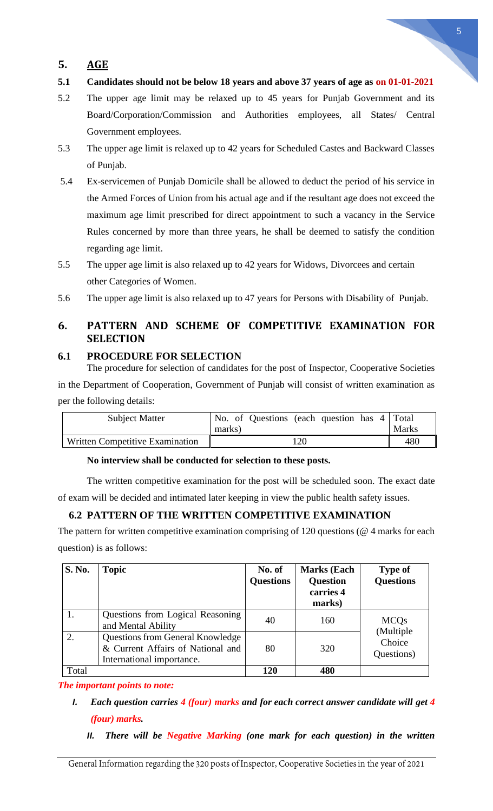# <span id="page-4-0"></span>**5. AGE**

- **5.1 Candidates should not be below 18 years and above 37 years of age as on 01-01-2021**
- 5.2 The upper age limit may be relaxed up to 45 years for Punjab Government and its Board/Corporation/Commission and Authorities employees, all States/ Central Government employees.
- 5.3 The upper age limit is relaxed up to 42 years for Scheduled Castes and Backward Classes of Punjab.
- 5.4 Ex-servicemen of Punjab Domicile shall be allowed to deduct the period of his service in the Armed Forces of Union from his actual age and if the resultant age does not exceed the maximum age limit prescribed for direct appointment to such a vacancy in the Service Rules concerned by more than three years, he shall be deemed to satisfy the condition regarding age limit.
- 5.5 The upper age limit is also relaxed up to 42 years for Widows, Divorcees and certain other Categories of Women.
- 5.6 The upper age limit is also relaxed up to 47 years for Persons with Disability of Punjab.

# <span id="page-4-1"></span>**6. PATTERN AND SCHEME OF COMPETITIVE EXAMINATION FOR SELECTION**

### <span id="page-4-2"></span>**6.1 PROCEDURE FOR SELECTION**

The procedure for selection of candidates for the post of Inspector, Cooperative Societies in the Department of Cooperation, Government of Punjab will consist of written examination as per the following details:

| <b>Subject Matter</b>           | No. of Questions (each question has 4 Total<br>marks) | <b>Marks</b> |
|---------------------------------|-------------------------------------------------------|--------------|
| Written Competitive Examination | .20                                                   | 480          |

#### **No interview shall be conducted for selection to these posts.**

The written competitive examination for the post will be scheduled soon. The exact date of exam will be decided and intimated later keeping in view the public health safety issues.

# <span id="page-4-3"></span>**6.2 PATTERN OF THE WRITTEN COMPETITIVE EXAMINATION**

The pattern for written competitive examination comprising of 120 questions (@ 4 marks for each question) is as follows:

| S. No. | <b>Topic</b>                                                                                              | No. of<br><b>Questions</b> | <b>Marks</b> (Each<br><b>Question</b><br>carries 4<br>marks) | <b>Type of</b><br><b>Questions</b> |
|--------|-----------------------------------------------------------------------------------------------------------|----------------------------|--------------------------------------------------------------|------------------------------------|
|        | Questions from Logical Reasoning<br>and Mental Ability                                                    | 40                         | 160                                                          | <b>MCQs</b>                        |
| 2.     | <b>Questions from General Knowledge</b><br>& Current Affairs of National and<br>International importance. | 80                         | 320                                                          | (Multiple<br>Choice<br>Questions)  |
| Total  |                                                                                                           | 120                        | 480                                                          |                                    |

*The important points to note:*

- *I. Each question carries 4 (four) marks and for each correct answer candidate will get 4 (four) marks.*
	- *II. There will be Negative Marking (one mark for each question) in the written*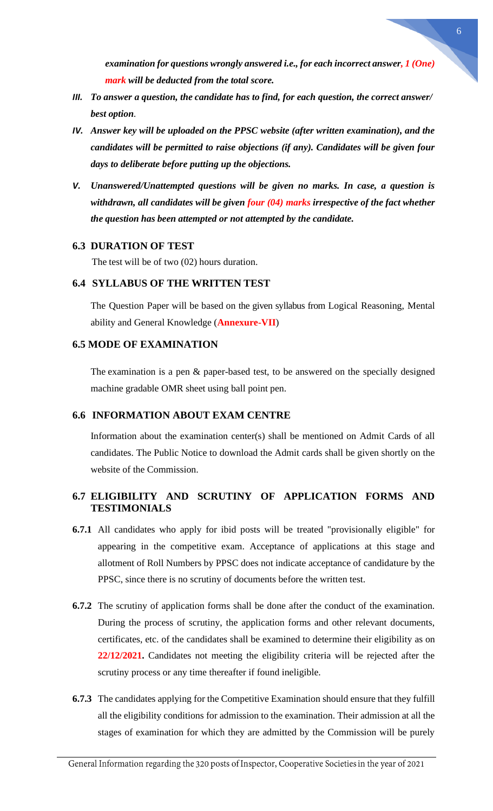*examination for questions wrongly answered i.e., for each incorrect answer, 1 (One) mark will be deducted from the total score.*

- *III. To answer a question, the candidate has to find, for each question, the correct answer/ best option.*
- *IV. Answer key will be uploaded on the PPSC website (after written examination), and the candidates will be permitted to raise objections (if any). Candidates will be given four days to deliberate before putting up the objections.*
- *V. Unanswered/Unattempted questions will be given no marks. In case, a question is withdrawn, all candidates will be given four (04) marks irrespective of the fact whether the question has been attempted or not attempted by the candidate.*

#### <span id="page-5-0"></span>**6.3 DURATION OF TEST**

The test will be of two (02) hours duration.

#### <span id="page-5-1"></span>**6.4 SYLLABUS OF THE WRITTEN TEST**

The Question Paper will be based on the given syllabus from Logical Reasoning, Mental ability and General Knowledge (**Annexure-VII**)

#### <span id="page-5-2"></span>**6.5 MODE OF EXAMINATION**

The examination is a pen & paper-based test, to be answered on the specially designed machine gradable OMR sheet using ball point pen.

#### <span id="page-5-3"></span>**6.6 INFORMATION ABOUT EXAM CENTRE**

Information about the examination center(s) shall be mentioned on Admit Cards of all candidates. The Public Notice to download the Admit cards shall be given shortly on the website of the Commission.

### <span id="page-5-4"></span>**6.7 ELIGIBILITY AND SCRUTINY OF APPLICATION FORMS AND TESTIMONIALS**

- **6.7.1** All candidates who apply for ibid posts will be treated "provisionally eligible" for appearing in the competitive exam. Acceptance of applications at this stage and allotment of Roll Numbers by PPSC does not indicate acceptance of candidature by the PPSC, since there is no scrutiny of documents before the written test.
- **6.7.2** The scrutiny of application forms shall be done after the conduct of the examination. During the process of scrutiny, the application forms and other relevant documents, certificates, etc. of the candidates shall be examined to determine their eligibility as on **22/12/2021.** Candidates not meeting the eligibility criteria will be rejected after the scrutiny process or any time thereafter if found ineligible.
- **6.7.3** The candidates applying for the Competitive Examination should ensure that they fulfill all the eligibility conditions for admission to the examination. Their admission at all the stages of examination for which they are admitted by the Commission will be purely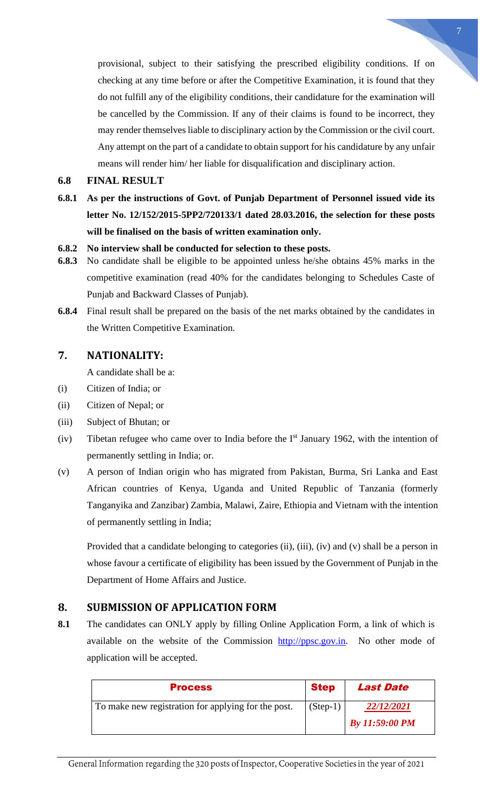provisional, subject to their satisfying the prescribed eligibility conditions. If on checking at any time before or after the Competitive Examination, it is found that they do not fulfill any of the eligibility conditions, their candidature for the examination will be cancelled by the Commission. If any of their claims is found to be incorrect, they may render themselves liable to disciplinary action by the Commission or the civil court. Any attempt on the part of a candidate to obtain support for his candidature by any unfair means will render him/ her liable for disqualification and disciplinary action.

#### <span id="page-6-0"></span>**6.8 FINAL RESULT**

- **6.8.1 As per the instructions of Govt. of Punjab Department of Personnel issued vide its letter No. 12/152/2015-5PP2/720133/1 dated 28.03.2016, the selection for these posts will be finalised on the basis of written examination only.**
- **6.8.2 No interview shall be conducted for selection to these posts.**
- **6.8.3** No candidate shall be eligible to be appointed unless he/she obtains 45% marks in the competitive examination (read 40% for the candidates belonging to Schedules Caste of Punjab and Backward Classes of Punjab).
- **6.8.4** Final result shall be prepared on the basis of the net marks obtained by the candidates in the Written Competitive Examination.

#### <span id="page-6-1"></span>**7. NATIONALITY:**

A candidate shall be a:

- (i) Citizen of India; or
- (ii) Citizen of Nepal; or
- (iii) Subject of Bhutan; or
- (iv) Tibetan refugee who came over to India before the  $I<sup>st</sup>$  January 1962, with the intention of permanently settling in India; or.
- (v) A person of Indian origin who has migrated from Pakistan, Burma, Sri Lanka and East African countries of Kenya, Uganda and United Republic of Tanzania (formerly Tanganyika and Zanzibar) Zambia, Malawi, Zaire, Ethiopia and Vietnam with the intention of permanently settling in India;

Provided that a candidate belonging to categories (ii), (iii), (iv) and (v) shall be a person in whose favour a certificate of eligibility has been issued by the Government of Punjab in the Department of Home Affairs and Justice.

#### <span id="page-6-2"></span>**8. SUBMISSION OF APPLICATION FORM**

**8.1** The candidates can ONLY apply by filling Online Application Form, a link of which is available on the website of the Commission [http://ppsc.gov.in.](http://ppsc.gov.in/) No other mode of application will be accepted.

| <b>Process</b>                                      | <b>Step</b> | <b>Last Date</b>      |
|-----------------------------------------------------|-------------|-----------------------|
| To make new registration for applying for the post. | $(Step-1)$  | 22/12/2021            |
|                                                     |             | <b>By 11:59:00 PM</b> |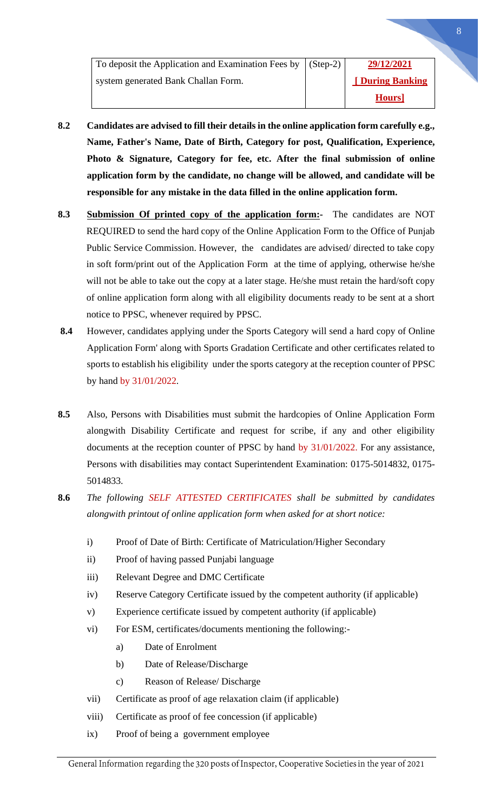| To deposit the Application and Examination Fees by (Step-2) | 29/12/2021      |
|-------------------------------------------------------------|-----------------|
| system generated Bank Challan Form.                         | [During Banking |
|                                                             | Hours]          |

- **8.2 Candidates are advised to fill their details in the online application form carefully e.g., Name, Father's Name, Date of Birth, Category for post, Qualification, Experience, Photo & Signature, Category for fee, etc. After the final submission of online application form by the candidate, no change will be allowed, and candidate will be responsible for any mistake in the data filled in the online application form.**
- **8.3 Submission Of printed copy of the application form:-** The candidates are NOT REQUIRED to send the hard copy of the Online Application Form to the Office of Punjab Public Service Commission. However, the candidates are advised/ directed to take copy in soft form/print out of the Application Form at the time of applying, otherwise he/she will not be able to take out the copy at a later stage. He/she must retain the hard/soft copy of online application form along with all eligibility documents ready to be sent at a short notice to PPSC, whenever required by PPSC.
- **8.4** However, candidates applying under the Sports Category will send a hard copy of Online Application Form' along with Sports Gradation Certificate and other certificates related to sports to establish his eligibility under the sports category at the reception counter of PPSC by hand by 31/01/2022.
- **8.5** Also, Persons with Disabilities must submit the hardcopies of Online Application Form alongwith Disability Certificate and request for scribe, if any and other eligibility documents at the reception counter of PPSC by hand by 31/01/2022. For any assistance, Persons with disabilities may contact Superintendent Examination: 0175-5014832, 0175- 5014833.
- **8.6** *The following SELF ATTESTED CERTIFICATES shall be submitted by candidates alongwith printout of online application form when asked for at short notice:*
	- i) Proof of Date of Birth: Certificate of Matriculation/Higher Secondary
	- ii) Proof of having passed Punjabi language
	- iii) Relevant Degree and DMC Certificate
	- iv) Reserve Category Certificate issued by the competent authority (if applicable)
	- v) Experience certificate issued by competent authority (if applicable)
	- vi) For ESM, certificates/documents mentioning the following:
		- a) Date of Enrolment
		- b) Date of Release/Discharge
		- c) Reason of Release/ Discharge
	- vii) Certificate as proof of age relaxation claim (if applicable)
	- viii) Certificate as proof of fee concession (if applicable)
	- ix) Proof of being a government employee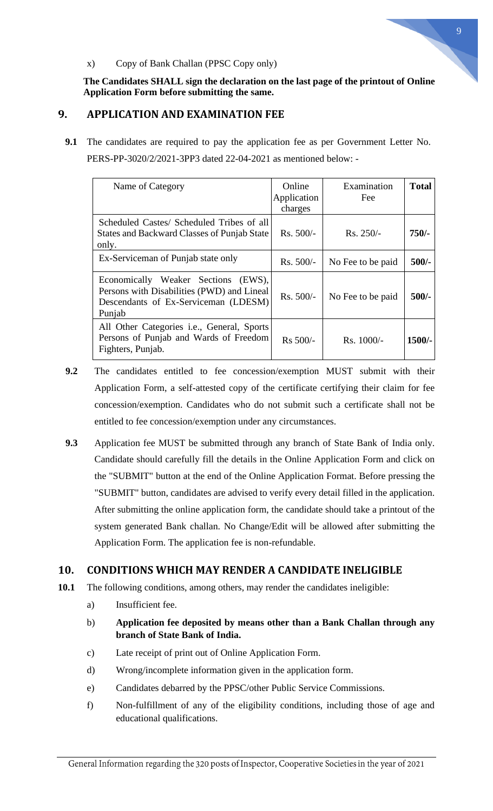

#### x) Copy of Bank Challan (PPSC Copy only)

**The Candidates SHALL sign the declaration on the last page of the printout of Online Application Form before submitting the same.**

### <span id="page-8-0"></span>**9. APPLICATION AND EXAMINATION FEE**

 **9.1** The candidates are required to pay the application fee as per Government Letter No. PERS-PP-3020/2/2021-3PP3 dated 22-04-2021 as mentioned below: -

| Name of Category                                                                                                                    | Online<br>Application<br>charges | Examination<br>Fee | <b>Total</b> |
|-------------------------------------------------------------------------------------------------------------------------------------|----------------------------------|--------------------|--------------|
| Scheduled Castes/ Scheduled Tribes of all<br>States and Backward Classes of Punjab State<br>only.                                   | Rs. 500/-                        | $Rs. 250/-$        | $750/-$      |
| Ex-Serviceman of Punjab state only                                                                                                  | $Rs. 500/-$                      | No Fee to be paid  | $500/-$      |
| Economically Weaker Sections (EWS),<br>Persons with Disabilities (PWD) and Lineal<br>Descendants of Ex-Serviceman (LDESM)<br>Punjab | $Rs. 500/-$                      | No Fee to be paid  | $500/-$      |
| All Other Categories <i>i.e.</i> , General, Sports<br>Persons of Punjab and Wards of Freedom<br>Fighters, Punjab.                   | $Rs 500/-$                       | $Rs. 1000/-$       | $1500/-$     |

- **9.2** The candidates entitled to fee concession/exemption MUST submit with their Application Form, a self-attested copy of the certificate certifying their claim for fee concession/exemption. Candidates who do not submit such a certificate shall not be entitled to fee concession/exemption under any circumstances.
- **9.3** Application fee MUST be submitted through any branch of State Bank of India only. Candidate should carefully fill the details in the Online Application Form and click on the "SUBMIT" button at the end of the Online Application Format. Before pressing the "SUBMIT" button, candidates are advised to verify every detail filled in the application. After submitting the online application form, the candidate should take a printout of the system generated Bank challan. No Change/Edit will be allowed after submitting the Application Form. The application fee is non-refundable.

## <span id="page-8-1"></span>**10. CONDITIONS WHICH MAY RENDER A CANDIDATE INELIGIBLE**

- **10.1** The following conditions, among others, may render the candidates ineligible:
	- a) Insufficient fee.
	- b) **Application fee deposited by means other than a Bank Challan through any branch of State Bank of India.**
	- c) Late receipt of print out of Online Application Form.
	- d) Wrong/incomplete information given in the application form.
	- e) Candidates debarred by the PPSC/other Public Service Commissions.
	- f) Non-fulfillment of any of the eligibility conditions, including those of age and educational qualifications.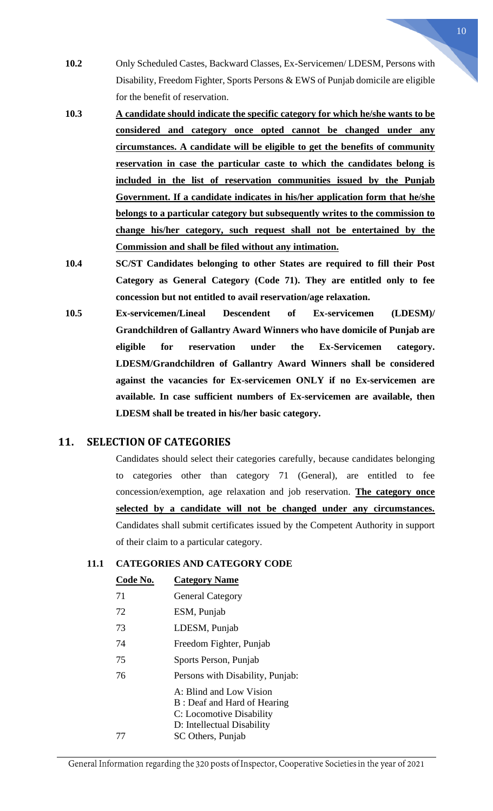- **10.2** Only Scheduled Castes, Backward Classes, Ex-Servicemen/ LDESM, Persons with Disability, Freedom Fighter, Sports Persons & EWS of Punjab domicile are eligible for the benefit of reservation.
- **10.3 A candidate should indicate the specific category for which he/she wants to be considered and category once opted cannot be changed under any circumstances. A candidate will be eligible to get the benefits of community reservation in case the particular caste to which the candidates belong is included in the list of reservation communities issued by the Punjab Government. If a candidate indicates in his/her application form that he/she belongs to a particular category but subsequently writes to the commission to change his/her category, such request shall not be entertained by the Commission and shall be filed without any intimation.**
- **10.4 SC/ST Candidates belonging to other States are required to fill their Post Category as General Category (Code 71). They are entitled only to fee concession but not entitled to avail reservation/age relaxation.**
- **10.5 Ex-servicemen/Lineal Descendent of Ex-servicemen (LDESM)/ Grandchildren of Gallantry Award Winners who have domicile of Punjab are eligible for reservation under the Ex-Servicemen category. LDESM/Grandchildren of Gallantry Award Winners shall be considered against the vacancies for Ex-servicemen ONLY if no Ex-servicemen are available. In case sufficient numbers of Ex-servicemen are available, then LDESM shall be treated in his/her basic category.**

## <span id="page-9-0"></span>**11. SELECTION OF CATEGORIES**

Candidates should select their categories carefully, because candidates belonging to categories other than category 71 (General), are entitled to fee concession/exemption, age relaxation and job reservation. **The category once selected by a candidate will not be changed under any circumstances.** Candidates shall submit certificates issued by the Competent Authority in support of their claim to a particular category.

#### **11.1 CATEGORIES AND CATEGORY CODE**

| Code No. | <b>Category Name</b>                                                                                             |
|----------|------------------------------------------------------------------------------------------------------------------|
| 71       | <b>General Category</b>                                                                                          |
| 72       | ESM, Punjab                                                                                                      |
| 73       | LDESM, Punjab                                                                                                    |
| 74       | Freedom Fighter, Punjab                                                                                          |
| 75       | Sports Person, Punjab                                                                                            |
| 76       | Persons with Disability, Punjab:                                                                                 |
|          | A: Blind and Low Vision<br>B: Deaf and Hard of Hearing<br>C: Locomotive Disability<br>D: Intellectual Disability |
| 77       | SC Others, Punjab                                                                                                |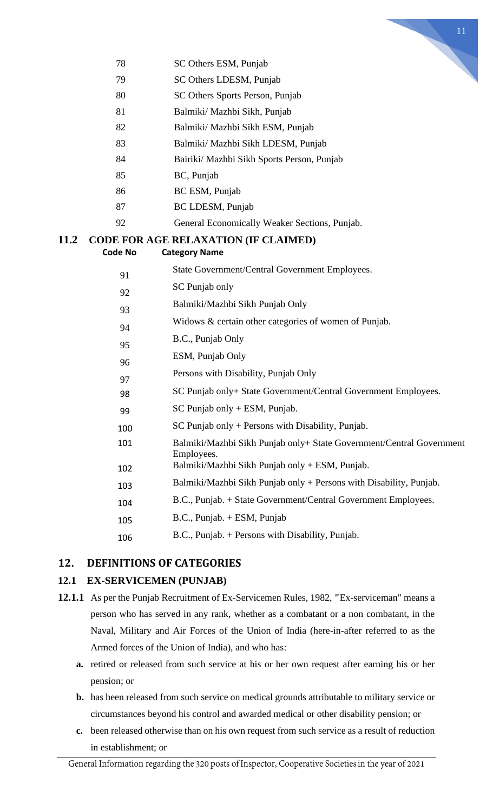

- SC Others ESM, Punjab
- SC Others LDESM, Punjab
- SC Others Sports Person, Punjab
- Balmiki/ Mazhbi Sikh, Punjab
- Balmiki/ Mazhbi Sikh ESM, Punjab
- Balmiki/ Mazhbi Sikh LDESM, Punjab
- Bairiki/ Mazhbi Sikh Sports Person, Punjab
- BC, Punjab
- BC ESM, Punjab
- BC LDESM, Punjab
- General Economically Weaker Sections, Punjab.

#### **11.2 CODE FOR AGE RELAXATION (IF CLAIMED) Code No Category Name**

| 91       | State Government/Central Government Employees.                                     |
|----------|------------------------------------------------------------------------------------|
| 92       | SC Punjab only                                                                     |
| 93       | Balmiki/Mazhbi Sikh Punjab Only                                                    |
| 94       | Widows & certain other categories of women of Punjab.                              |
| 95       | B.C., Punjab Only                                                                  |
|          | ESM, Punjab Only                                                                   |
| 96       | Persons with Disability, Punjab Only                                               |
| 97<br>98 | SC Punjab only+ State Government/Central Government Employees.                     |
| 99       | $SC$ Punjab only + ESM, Punjab.                                                    |
| 100      | $SC$ Punjab only + Persons with Disability, Punjab.                                |
| 101      | Balmiki/Mazhbi Sikh Punjab only+ State Government/Central Government<br>Employees. |
| 102      | Balmiki/Mazhbi Sikh Punjab only + ESM, Punjab.                                     |
| 103      | Balmiki/Mazhbi Sikh Punjab only + Persons with Disability, Punjab.                 |
| 104      | B.C., Punjab. + State Government/Central Government Employees.                     |
| 105      | $B.C., Punjab. + ESM, Punjab$                                                      |
| 106      | B.C., Punjab. + Persons with Disability, Punjab.                                   |

## <span id="page-10-0"></span>**12. DEFINITIONS OF CATEGORIES**

#### <span id="page-10-1"></span>**12.1 EX-SERVICEMEN (PUNJAB)**

- **12.1.1** As per the Punjab Recruitment of Ex-Servicemen Rules, 1982, **"**Ex-serviceman" means a person who has served in any rank, whether as a combatant or a non combatant, in the Naval, Military and Air Forces of the Union of India (here-in-after referred to as the Armed forces of the Union of India), and who has:
	- **a.** retired or released from such service at his or her own request after earning his or her pension; or
	- **b.** has been released from such service on medical grounds attributable to military service or circumstances beyond his control and awarded medical or other disability pension; or
	- **c.** been released otherwise than on his own request from such service as a result of reduction in establishment; or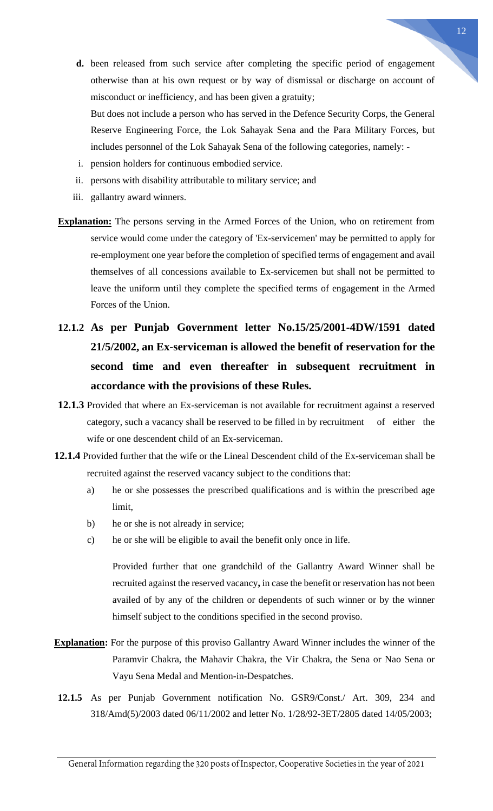**d.** been released from such service after completing the specific period of engagement otherwise than at his own request or by way of dismissal or discharge on account of misconduct or inefficiency, and has been given a gratuity;

But does not include a person who has served in the Defence Security Corps, the General Reserve Engineering Force, the Lok Sahayak Sena and the Para Military Forces, but includes personnel of the Lok Sahayak Sena of the following categories, namely: -

- i. pension holders for continuous embodied service.
- ii. persons with disability attributable to military service; and
- iii. gallantry award winners.
- **Explanation:** The persons serving in the Armed Forces of the Union, who on retirement from service would come under the category of 'Ex-servicemen' may be permitted to apply for re-employment one year before the completion of specified terms of engagement and avail themselves of all concessions available to Ex-servicemen but shall not be permitted to leave the uniform until they complete the specified terms of engagement in the Armed Forces of the Union.
- **12.1.2 As per Punjab Government letter No.15/25/2001-4DW/1591 dated 21/5/2002, an Ex-serviceman is allowed the benefit of reservation for the second time and even thereafter in subsequent recruitment in accordance with the provisions of these Rules.**
- **12.1.3** Provided that where an Ex-serviceman is not available for recruitment against a reserved category, such a vacancy shall be reserved to be filled in by recruitment of either the wife or one descendent child of an Ex-serviceman.
- **12.1.4** Provided further that the wife or the Lineal Descendent child of the Ex-serviceman shall be recruited against the reserved vacancy subject to the conditions that:
	- a) he or she possesses the prescribed qualifications and is within the prescribed age limit,
	- b) he or she is not already in service;
	- c) he or she will be eligible to avail the benefit only once in life.

Provided further that one grandchild of the Gallantry Award Winner shall be recruited against the reserved vacancy**,** in case the benefit or reservation has not been availed of by any of the children or dependents of such winner or by the winner himself subject to the conditions specified in the second proviso.

- **Explanation:** For the purpose of this proviso Gallantry Award Winner includes the winner of the Paramvir Chakra, the Mahavir Chakra, the Vir Chakra, the Sena or Nao Sena or Vayu Sena Medal and Mention-in-Despatches.
- **12.1.5** As per Punjab Government notification No. GSR9/Const./ Art. 309, 234 and 318/Amd(5)/2003 dated 06/11/2002 and letter No. 1/28/92-3ET/2805 dated 14/05/2003;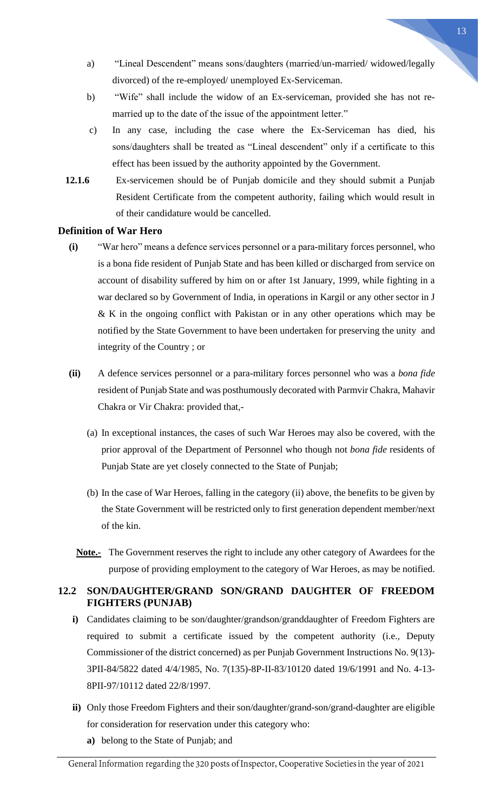married up to the date of the issue of the appointment letter."

b) "Wife" shall include the widow of an Ex-serviceman, provided she has not re-

a) "Lineal Descendent" means sons/daughters (married/un-married/ widowed/legally

divorced) of the re-employed/ unemployed Ex-Serviceman.

- c) In any case, including the case where the Ex-Serviceman has died, his sons/daughters shall be treated as "Lineal descendent" only if a certificate to this effect has been issued by the authority appointed by the Government.
- **12.1.6** Ex-servicemen should be of Punjab domicile and they should submit a Punjab Resident Certificate from the competent authority, failing which would result in of their candidature would be cancelled.

#### <span id="page-12-0"></span>**Definition of War Hero**

- **(i)** "War hero" means a defence services personnel or a para-military forces personnel, who is a bona fide resident of Punjab State and has been killed or discharged from service on account of disability suffered by him on or after 1st January, 1999, while fighting in a war declared so by Government of India, in operations in Kargil or any other sector in J & K in the ongoing conflict with Pakistan or in any other operations which may be notified by the State Government to have been undertaken for preserving the unity and integrity of the Country ; or
- **(ii)** A defence services personnel or a para-military forces personnel who was a *bona fide* resident of Punjab State and was posthumously decorated with Parmvir Chakra, Mahavir Chakra or Vir Chakra: provided that,-
	- (a) In exceptional instances, the cases of such War Heroes may also be covered, with the prior approval of the Department of Personnel who though not *bona fide* residents of Punjab State are yet closely connected to the State of Punjab;
	- (b) In the case of War Heroes, falling in the category (ii) above, the benefits to be given by the State Government will be restricted only to first generation dependent member/next of the kin.
	- **Note.-** The Government reserves the right to include any other category of Awardees for the purpose of providing employment to the category of War Heroes, as may be notified.

#### <span id="page-12-1"></span>**12.2 SON/DAUGHTER/GRAND SON/GRAND DAUGHTER OF FREEDOM FIGHTERS (PUNJAB)**

- **i)** Candidates claiming to be son/daughter/grandson/granddaughter of Freedom Fighters are required to submit a certificate issued by the competent authority (i.e., Deputy Commissioner of the district concerned) as per Punjab Government Instructions No. 9(13)- 3PII-84/5822 dated 4/4/1985, No. 7(135)-8P-II-83/10120 dated 19/6/1991 and No. 4-13- 8PII-97/10112 dated 22/8/1997.
- **ii)** Only those Freedom Fighters and their son/daughter/grand-son/grand-daughter are eligible for consideration for reservation under this category who:
	- **a)** belong to the State of Punjab; and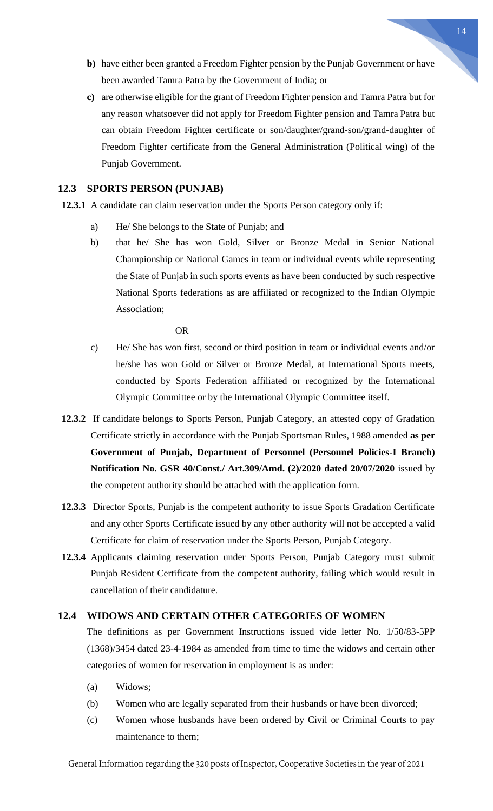- **b)** have either been granted a Freedom Fighter pension by the Punjab Government or have been awarded Tamra Patra by the Government of India; or
- **c)** are otherwise eligible for the grant of Freedom Fighter pension and Tamra Patra but for any reason whatsoever did not apply for Freedom Fighter pension and Tamra Patra but can obtain Freedom Fighter certificate or son/daughter/grand-son/grand-daughter of Freedom Fighter certificate from the General Administration (Political wing) of the Punjab Government.

#### <span id="page-13-0"></span>**12.3 SPORTS PERSON (PUNJAB)**

**12.3.1** A candidate can claim reservation under the Sports Person category only if:

- a) He/ She belongs to the State of Punjab; and
- b) that he/ She has won Gold, Silver or Bronze Medal in Senior National Championship or National Games in team or individual events while representing the State of Punjab in such sports events as have been conducted by such respective National Sports federations as are affiliated or recognized to the Indian Olympic Association;

#### OR

- c) He/ She has won first, second or third position in team or individual events and/or he/she has won Gold or Silver or Bronze Medal, at International Sports meets, conducted by Sports Federation affiliated or recognized by the International Olympic Committee or by the International Olympic Committee itself.
- **12.3.2** If candidate belongs to Sports Person, Punjab Category, an attested copy of Gradation Certificate strictly in accordance with the Punjab Sportsman Rules, 1988 amended **as per Government of Punjab, Department of Personnel (Personnel Policies-I Branch) Notification No. GSR 40/Const./ Art.309/Amd. (2)/2020 dated 20/07/2020** issued by the competent authority should be attached with the application form.
- **12.3.3** Director Sports, Punjab is the competent authority to issue Sports Gradation Certificate and any other Sports Certificate issued by any other authority will not be accepted a valid Certificate for claim of reservation under the Sports Person, Punjab Category.
- **12.3.4** Applicants claiming reservation under Sports Person, Punjab Category must submit Punjab Resident Certificate from the competent authority, failing which would result in cancellation of their candidature.

#### <span id="page-13-1"></span>**12.4 WIDOWS AND CERTAIN OTHER CATEGORIES OF WOMEN**

The definitions as per Government Instructions issued vide letter No. 1/50/83-5PP (1368)/3454 dated 23-4-1984 as amended from time to time the widows and certain other categories of women for reservation in employment is as under:

- (a) Widows;
- (b) Women who are legally separated from their husbands or have been divorced;
- (c) Women whose husbands have been ordered by Civil or Criminal Courts to pay maintenance to them;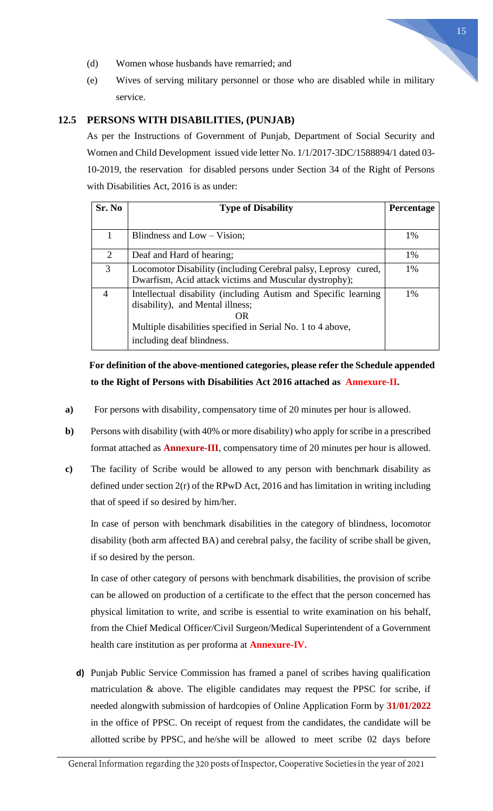15

- (d) Women whose husbands have remarried; and
- (e) Wives of serving military personnel or those who are disabled while in military service.

#### <span id="page-14-0"></span>**12.5 PERSONS WITH DISABILITIES, (PUNJAB)**

As per the Instructions of Government of Punjab, Department of Social Security and Women and Child Development issued vide letter No. 1/1/2017-3DC/1588894/1 dated 03- 10-2019, the reservation for disabled persons under Section 34 of the Right of Persons with Disabilities Act, 2016 is as under:

| Sr. No         | <b>Type of Disability</b>                                                                                                                                                                             | Percentage |
|----------------|-------------------------------------------------------------------------------------------------------------------------------------------------------------------------------------------------------|------------|
|                |                                                                                                                                                                                                       |            |
| 1              | Blindness and $Low - Vision;$                                                                                                                                                                         | 1%         |
| 2              | Deaf and Hard of hearing;                                                                                                                                                                             | 1%         |
| 3              | Locomotor Disability (including Cerebral palsy, Leprosy cured,<br>Dwarfism, Acid attack victims and Muscular dystrophy);                                                                              | 1%         |
| $\overline{A}$ | Intellectual disability (including Autism and Specific learning<br>disability), and Mental illness;<br>OR<br>Multiple disabilities specified in Serial No. 1 to 4 above,<br>including deaf blindness. | 1%         |

# **For definition of the above-mentioned categories, please refer the Schedule appended to the Right of Persons with Disabilities Act 2016 attached as Annexure-II.**

- **a)** For persons with disability, compensatory time of 20 minutes per hour is allowed.
- **b)** Persons with disability (with 40% or more disability) who apply for scribe in a prescribed format attached as **Annexure-III**, compensatory time of 20 minutes per hour is allowed.
- **c)** The facility of Scribe would be allowed to any person with benchmark disability as defined under section 2(r) of the RPwD Act, 2016 and has limitation in writing including that of speed if so desired by him/her.

In case of person with benchmark disabilities in the category of blindness, locomotor disability (both arm affected BA) and cerebral palsy, the facility of scribe shall be given, if so desired by the person.

In case of other category of persons with benchmark disabilities, the provision of scribe can be allowed on production of a certificate to the effect that the person concerned has physical limitation to write, and scribe is essential to write examination on his behalf, from the Chief Medical Officer/Civil Surgeon/Medical Superintendent of a Government health care institution as per proforma at **Annexure-IV.**

**d)** Punjab Public Service Commission has framed a panel of scribes having qualification matriculation & above. The eligible candidates may request the PPSC for scribe, if needed alongwith submission of hardcopies of Online Application Form by **31/01/2022** in the office of PPSC. On receipt of request from the candidates, the candidate will be allotted scribe by PPSC, and he/she will be allowed to meet scribe 02 days before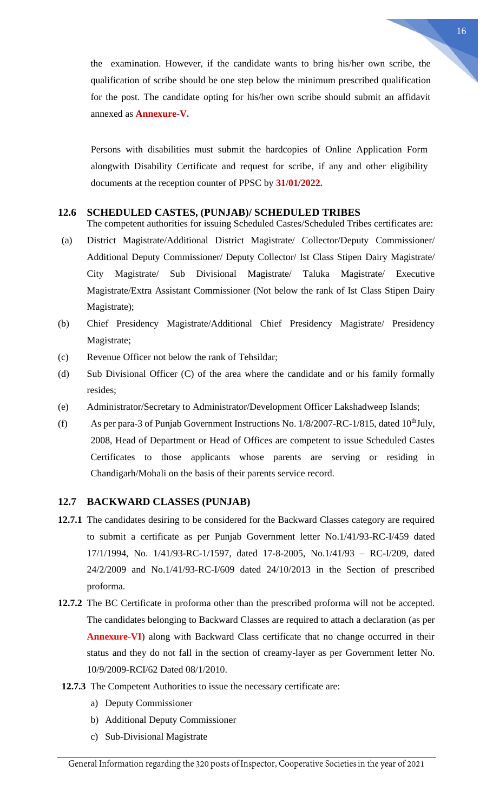the examination. However, if the candidate wants to bring his/her own scribe, the qualification of scribe should be one step below the minimum prescribed qualification for the post. The candidate opting for his/her own scribe should submit an affidavit annexed as **Annexure-V.**

Persons with disabilities must submit the hardcopies of Online Application Form alongwith Disability Certificate and request for scribe, if any and other eligibility documents at the reception counter of PPSC by **31/01/2022.**

#### <span id="page-15-0"></span>**12.6 SCHEDULED CASTES, (PUNJAB)/ SCHEDULED TRIBES**

The competent authorities for issuing Scheduled Castes/Scheduled Tribes certificates are:

- (a) District Magistrate/Additional District Magistrate/ Collector/Deputy Commissioner/ Additional Deputy Commissioner/ Deputy Collector/ Ist Class Stipen Dairy Magistrate/ City Magistrate/ Sub Divisional Magistrate/ Taluka Magistrate/ Executive Magistrate/Extra Assistant Commissioner (Not below the rank of Ist Class Stipen Dairy Magistrate);
- (b) Chief Presidency Magistrate/Additional Chief Presidency Magistrate/ Presidency Magistrate;
- (c) Revenue Officer not below the rank of Tehsildar;
- (d) Sub Divisional Officer (C) of the area where the candidate and or his family formally resides;
- (e) Administrator/Secretary to Administrator/Development Officer Lakshadweep Islands;
- (f) As per para-3 of Punjab Government Instructions No.  $1/8/2007$ -RC- $1/815$ , dated  $10<sup>th</sup>$ July, 2008, Head of Department or Head of Offices are competent to issue Scheduled Castes Certificates to those applicants whose parents are serving or residing in Chandigarh/Mohali on the basis of their parents service record.

#### <span id="page-15-1"></span>**12.7 BACKWARD CLASSES (PUNJAB)**

- **12.7.1** The candidates desiring to be considered for the Backward Classes category are required to submit a certificate as per Punjab Government letter No.1/41/93-RC-I/459 dated 17/1/1994, No. 1/41/93-RC-1/1597, dated 17-8-2005, No.1/41/93 – RC-I/209, dated 24/2/2009 and No.1/41/93-RC-I/609 dated 24/10/2013 in the Section of prescribed proforma.
- **12.7.2** The BC Certificate in proforma other than the prescribed proforma will not be accepted. The candidates belonging to Backward Classes are required to attach a declaration (as per **Annexure-VI**) along with Backward Class certificate that no change occurred in their status and they do not fall in the section of creamy-layer as per Government letter No. 10/9/2009-RCI/62 Dated 08/1/2010.
- **12.7.3** The Competent Authorities to issue the necessary certificate are:
	- a) Deputy Commissioner
	- b) Additional Deputy Commissioner
	- c) Sub-Divisional Magistrate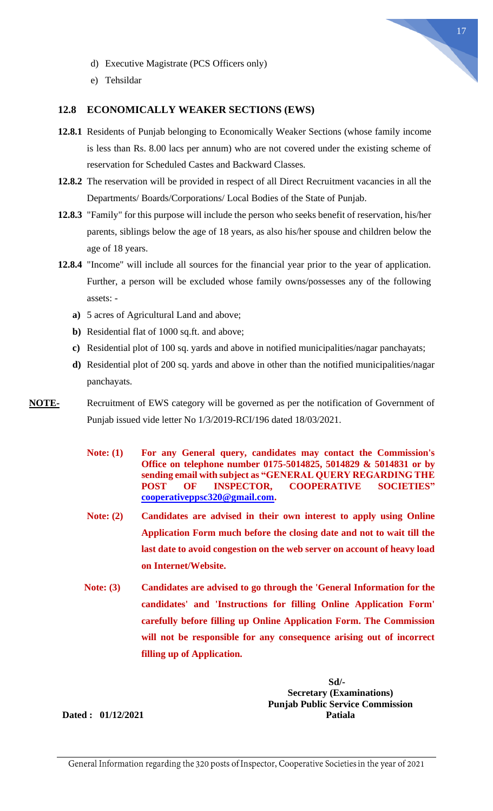

- d) Executive Magistrate (PCS Officers only)
- e) Tehsildar

#### <span id="page-16-0"></span>**12.8 ECONOMICALLY WEAKER SECTIONS (EWS)**

- **12.8.1** Residents of Punjab belonging to Economically Weaker Sections (whose family income is less than Rs. 8.00 lacs per annum) who are not covered under the existing scheme of reservation for Scheduled Castes and Backward Classes.
- **12.8.2** The reservation will be provided in respect of all Direct Recruitment vacancies in all the Departments/ Boards/Corporations/ Local Bodies of the State of Punjab.
- **12.8.3** "Family" for this purpose will include the person who seeks benefit of reservation, his/her parents, siblings below the age of 18 years, as also his/her spouse and children below the age of 18 years.
- **12.8.4** "Income" will include all sources for the financial year prior to the year of application. Further, a person will be excluded whose family owns/possesses any of the following assets:
	- **a)** 5 acres of Agricultural Land and above;
	- **b)** Residential flat of 1000 sq.ft. and above;
	- **c)** Residential plot of 100 sq. yards and above in notified municipalities/nagar panchayats;
	- **d)** Residential plot of 200 sq. yards and above in other than the notified municipalities/nagar panchayats.
- **NOTE-** Recruitment of EWS category will be governed as per the notification of Government of Punjab issued vide letter No 1/3/2019-RCI/196 dated 18/03/2021.
	- **Note: (1) For any General query, candidates may contact the Commission's Office on telephone number 0175-5014825, 5014829 & 5014831 or by sending email with subject as "GENERAL QUERY REGARDING THE POST OF INSPECTOR, COOPERATIVE SOCIETIES" [cooperativeppsc320@gmail.com.](mailto:cooperativeppsc320@gmail.com)**
	- **Note: (2) Candidates are advised in their own interest to apply using Online Application Form much before the closing date and not to wait till the last date to avoid congestion on the web server on account of heavy load on Internet/Website.**
	- **Note: (3) Candidates are advised to go through the 'General Information for the candidates' and 'Instructions for filling Online Application Form' carefully before filling up Online Application Form. The Commission will not be responsible for any consequence arising out of incorrect filling up of Application.**

 **Sd/- Sd/- Secretary (Examinations) Punjab Public Service Commission Patiala**

**Dated : 01/12/2021**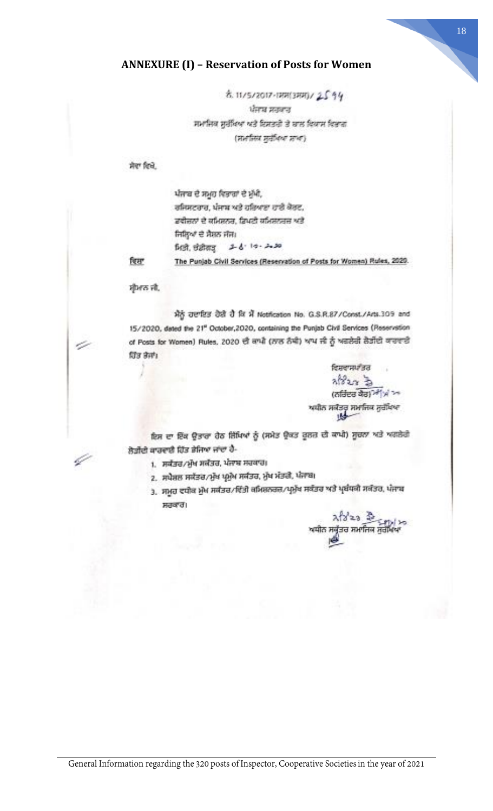## <span id="page-17-0"></span>**ANNEXURE (I) – Reservation of Posts for Women**

8. 11/5/2017-18813881)/2594 ਪੰਜਾਬ ਸਤਕਾਰ ਸਮਾਜਿਕ ਸੁਰੱਖਿਆ ਅਤੇ ਇਸਤਰੀ ਤੇ ਬਾਲ ਵਿਕਾਸ ਵਿਭਾਗ (प्रानस्थि मुर्वेशिय प्राच)

ਸੇਵਾ ਵਿਖੇ

ਪੰਜਾਬ ਦੇ ਸਮੂਹ ਵਿਭਾਗਾਂ ਦੇ ਮੁੱਖੀ, ਰਜਿਸਟਰਾਰ, ਪੰਜਾਬ ਅਤੇ ਹਰਿਆਣਾ ਹਾਈ ਕੋਰਟ, ਡਵੀਜ਼ਨਾਂ ਦੇ ਕਮਿਲਨਰ, ਡਿਪਟੀ ਕਮਿਲਨਰਜ਼ ਅਤੇ ਜਿਲ੍ਹਿਆਂ ਦੇ ਸੈਸ਼ਨ ਜੱਜ।  $2 - 6 - 10 - 20.30$ ਮਿਤੀ, ਚੰਡੀਗੜ੍ਹ The Punjab Civil Services (Reservation of Posts for Women) Rules, 2020.

रिस

v.

4

ਸ਼ੀਮਾਨ ਜੀ.

ਮੈਨੂੰ ਹਦਾਇਤ ਹੋਈ ਹੈ ਕਿ ਮੈਂ Notification No. G.S.R.87/Const./Arts.309 and 15/2020, dated the 21<sup>e</sup> October, 2020, containing the Punjab Civil Services (Reservation of Posts for Women) Rules, 2020 ਦੀ ਕਾਪੀ (ਨਾਲ ਨੰਬੀ) ਆਪ ਜੀ ਨੂੰ ਅਗਲੇਰੀ ਲੋੜੀਂਦੀ ਕਾਰਵਾਈ ਹਿੰਡ ਭੇਜਾਂ।

> ਵਿਸ਼ਵਾਸਪ*ੀ* ਭਰ ストレン る (ਨਰਿੰਦਰ ਕੋਰ)<sup>24</sup> ਮ<sup>ਾ</sup>ਅ

ਇਸ ਦਾ ਇੱਕ ਉਤਾਰਾ ਹੇਠ ਜ਼ਿੱਖਿਆਂ ਨੂੰ (ਸਮੇਤ ਉਕਤ ਰੂਲਜ਼ ਦੀ ਕਾਪੀ) ਸੂਚਨਾ ਅਤੇ ਅਗਲੇਗੇ ਲੋੜੀਂਦੀ ਕਾਰਵਾਲੀ ਹਿੱਤ ਭੇਜਿਆ ਜਾਂਦਾ ਹੈ-

- 1. ਸਕੱਤਰ/ਮੁੱਖ ਸਕੱਤਰ, ਪੰਜਾਬ ਸਰਕਾਰ;
- 2. ਸਪੈਸ਼ਲ ਸਕੱਤਰ/ਮੁੱਖ ਪ੍ਰਮੁੱਖ ਸਕੱਤਰ, ਮੁੱਖ ਮੰਤਰੀ, ਪੰਜਾਬ।
- .<br>3. ਸਮੂਹ ਵਧੀਕ ਮੁੱਖ ਸਕੱਤਰ/ਵਿੱਤੀ ਕਮਿਸ਼ਨਰਜ਼/ਪ੍ਰਮੁੱਖ ਸਕੱਤਰ ਅਤੇ ਪ੍ਰਬੰਧਕੀ ਸਕੱਤਰ, ਪੰਜਾਬ ਸਰਕਾਰ।

<u>মহিত হি</u> ਰ ਸਮਾਜਿਕ ਸੁਰੀ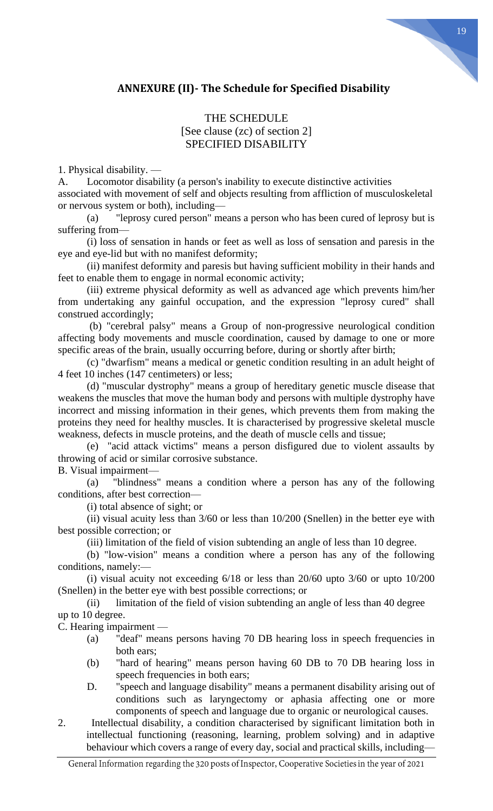# <span id="page-18-0"></span>**ANNEXURE (II)- The Schedule for Specified Disability**

## THE SCHEDULE [See clause (zc) of section 2] SPECIFIED DISABILITY

1. Physical disability. —

A. Locomotor disability (a person's inability to execute distinctive activities associated with movement of self and objects resulting from affliction of musculoskeletal or nervous system or both), including—

(a) "leprosy cured person" means a person who has been cured of leprosy but is suffering from—

(i) loss of sensation in hands or feet as well as loss of sensation and paresis in the eye and eye-lid but with no manifest deformity;

(ii) manifest deformity and paresis but having sufficient mobility in their hands and feet to enable them to engage in normal economic activity;

(iii) extreme physical deformity as well as advanced age which prevents him/her from undertaking any gainful occupation, and the expression "leprosy cured" shall construed accordingly;

(b) "cerebral palsy" means a Group of non-progressive neurological condition affecting body movements and muscle coordination, caused by damage to one or more specific areas of the brain, usually occurring before, during or shortly after birth;

(c) "dwarfism" means a medical or genetic condition resulting in an adult height of 4 feet 10 inches (147 centimeters) or less;

(d) "muscular dystrophy" means a group of hereditary genetic muscle disease that weakens the muscles that move the human body and persons with multiple dystrophy have incorrect and missing information in their genes, which prevents them from making the proteins they need for healthy muscles. It is characterised by progressive skeletal muscle weakness, defects in muscle proteins, and the death of muscle cells and tissue;

(e) "acid attack victims" means a person disfigured due to violent assaults by throwing of acid or similar corrosive substance.

B. Visual impairment—

(a) "blindness" means a condition where a person has any of the following conditions, after best correction—

(i) total absence of sight; or

(ii) visual acuity less than 3/60 or less than 10/200 (Snellen) in the better eye with best possible correction; or

(iii) limitation of the field of vision subtending an angle of less than 10 degree.

(b) "low-vision" means a condition where a person has any of the following conditions, namely:—

(i) visual acuity not exceeding 6/18 or less than 20/60 upto 3/60 or upto 10/200 (Snellen) in the better eye with best possible corrections; or

(ii) limitation of the field of vision subtending an angle of less than 40 degree up to 10 degree.

C. Hearing impairment —

- (a) "deaf" means persons having 70 DB hearing loss in speech frequencies in both ears;
- (b) "hard of hearing" means person having 60 DB to 70 DB hearing loss in speech frequencies in both ears;
- D. "speech and language disability" means a permanent disability arising out of conditions such as laryngectomy or aphasia affecting one or more components of speech and language due to organic or neurological causes.
- 2. Intellectual disability, a condition characterised by significant limitation both in intellectual functioning (reasoning, learning, problem solving) and in adaptive behaviour which covers a range of every day, social and practical skills, including—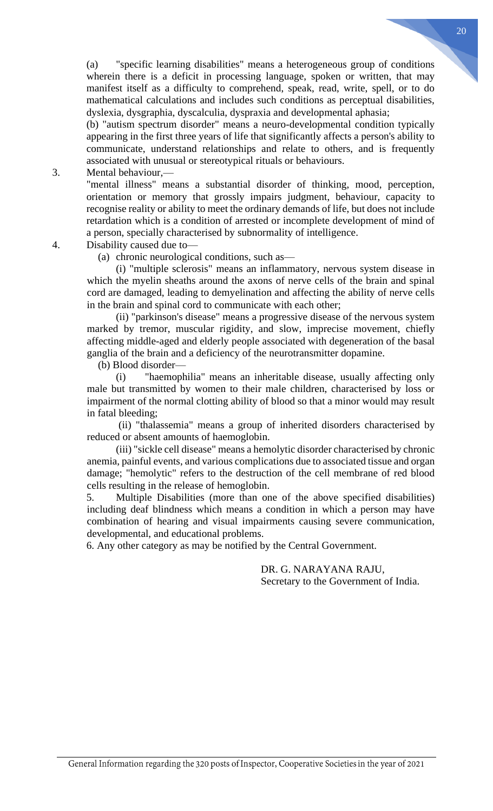(a) "specific learning disabilities" means a heterogeneous group of conditions wherein there is a deficit in processing language, spoken or written, that may manifest itself as a difficulty to comprehend, speak, read, write, spell, or to do mathematical calculations and includes such conditions as perceptual disabilities, dyslexia, dysgraphia, dyscalculia, dyspraxia and developmental aphasia;

(b) "autism spectrum disorder" means a neuro-developmental condition typically appearing in the first three years of life that significantly affects a person's ability to communicate, understand relationships and relate to others, and is frequently associated with unusual or stereotypical rituals or behaviours.

3. Mental behaviour,—

"mental illness" means a substantial disorder of thinking, mood, perception, orientation or memory that grossly impairs judgment, behaviour, capacity to recognise reality or ability to meet the ordinary demands of life, but does not include retardation which is a condition of arrested or incomplete development of mind of a person, specially characterised by subnormality of intelligence.

- 4. Disability caused due to—
	- (a) chronic neurological conditions, such as—

(i) "multiple sclerosis" means an inflammatory, nervous system disease in which the myelin sheaths around the axons of nerve cells of the brain and spinal cord are damaged, leading to demyelination and affecting the ability of nerve cells in the brain and spinal cord to communicate with each other;

(ii) "parkinson's disease" means a progressive disease of the nervous system marked by tremor, muscular rigidity, and slow, imprecise movement, chiefly affecting middle-aged and elderly people associated with degeneration of the basal ganglia of the brain and a deficiency of the neurotransmitter dopamine.

(b) Blood disorder—

(i) "haemophilia" means an inheritable disease, usually affecting only male but transmitted by women to their male children, characterised by loss or impairment of the normal clotting ability of blood so that a minor would may result in fatal bleeding;

(ii) "thalassemia" means a group of inherited disorders characterised by reduced or absent amounts of haemoglobin.

(iii) "sickle cell disease" means a hemolytic disorder characterised by chronic anemia, painful events, and various complications due to associated tissue and organ damage; "hemolytic" refers to the destruction of the cell membrane of red blood cells resulting in the release of hemoglobin.

5. Multiple Disabilities (more than one of the above specified disabilities) including deaf blindness which means a condition in which a person may have combination of hearing and visual impairments causing severe communication, developmental, and educational problems.

6. Any other category as may be notified by the Central Government.

DR. G. NARAYANA RAJU, Secretary to the Government of India.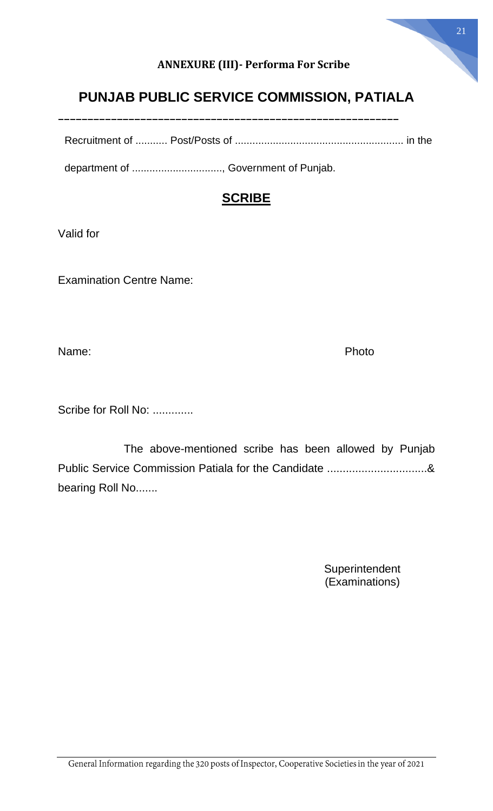# **ANNEXURE (III)- Performa For Scribe**

# <span id="page-20-0"></span>**PUNJAB PUBLIC SERVICE COMMISSION, PATIALA**

^^^^^^^^^^^^^^^^^^^^^^^^^^^^^^^^^^^^^^^^^^^^^^^^^^^^^^^^^^

Recruitment of ........... Post/Posts of .......................................................... in the

department of .............................., Government of Punjab.

# **SCRIBE**

Valid for

Examination Centre Name:

Name: The Photo of the Contract of the Photo Photo Photo

Scribe for Roll No: .............

 The above-mentioned scribe has been allowed by Punjab Public Service Commission Patiala for the Candidate ................................& bearing Roll No.......

> **Superintendent** (Examinations)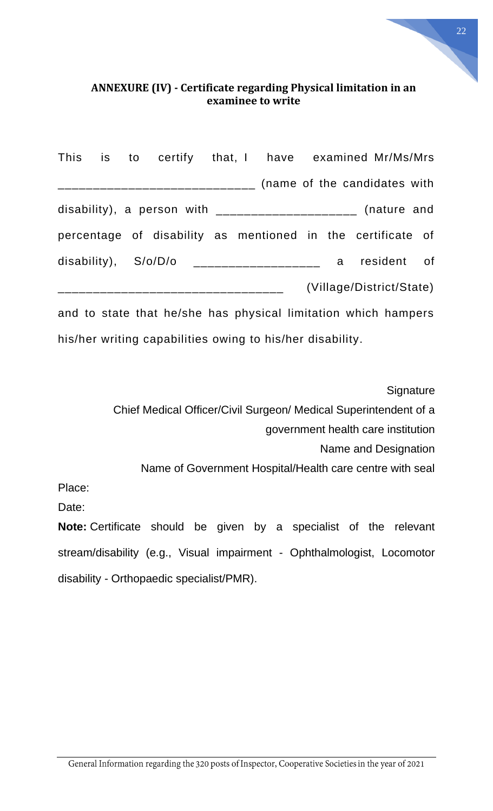# <span id="page-21-0"></span>**ANNEXURE (IV) - Certificate regarding Physical limitation in an examinee to write**

|  | This is to certify that, I have examined Mr/Ms/Mrs               |  |  |  |                          |  |
|--|------------------------------------------------------------------|--|--|--|--------------------------|--|
|  | ___________________________________ (name of the candidates with |  |  |  |                          |  |
|  | disability), a person with $\_{\_$                               |  |  |  |                          |  |
|  | percentage of disability as mentioned in the certificate of      |  |  |  |                          |  |
|  | disability), $S/O/D/O$ ___________________ a resident of         |  |  |  |                          |  |
|  | ______________________________                                   |  |  |  | (Village/District/State) |  |
|  | and to state that he/she has physical limitation which hampers   |  |  |  |                          |  |

his/her writing capabilities owing to his/her disability.

**Signature** 

Chief Medical Officer/Civil Surgeon/ Medical Superintendent of a

government health care institution

Name and Designation

Name of Government Hospital/Health care centre with seal

Place:

Date:

**Note:** Certificate should be given by a specialist of the relevant stream/disability (e.g., Visual impairment - Ophthalmologist, Locomotor disability - Orthopaedic specialist/PMR).

22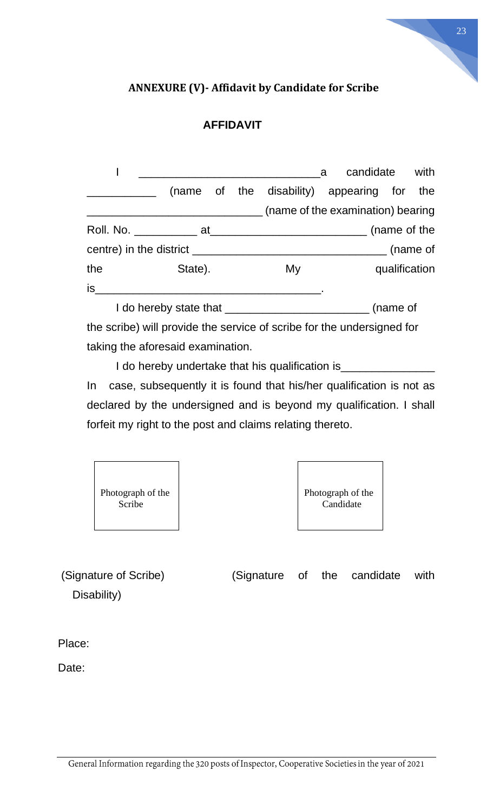# <span id="page-22-0"></span>**ANNEXURE (V)- Affidavit by Candidate for Scribe**

23

# **AFFIDAVIT**

|     |              |                                |  |  | <sub>a</sub>                               |  | candidate | with |
|-----|--------------|--------------------------------|--|--|--------------------------------------------|--|-----------|------|
|     |              |                                |  |  | (name of the disability) appearing for the |  |           |      |
|     |              |                                |  |  | (name of the examination) bearing          |  |           |      |
|     | (name of the |                                |  |  |                                            |  |           |      |
|     |              |                                |  |  |                                            |  |           |      |
| the |              | State).<br>qualification<br>My |  |  |                                            |  |           |      |
| is  |              |                                |  |  |                                            |  |           |      |
|     |              |                                |  |  |                                            |  | (name of  |      |

the scribe) will provide the service of scribe for the undersigned for taking the aforesaid examination.

I do hereby undertake that his qualification is\_\_\_\_\_\_\_\_\_\_\_\_\_\_\_\_\_\_\_\_\_\_\_\_\_\_\_\_\_\_\_\_\_ In case, subsequently it is found that his/her qualification is not as declared by the undersigned and is beyond my qualification. I shall forfeit my right to the post and claims relating thereto.



(Signature of Scribe) (Signature of the candidate with Disability)

Place:

Date: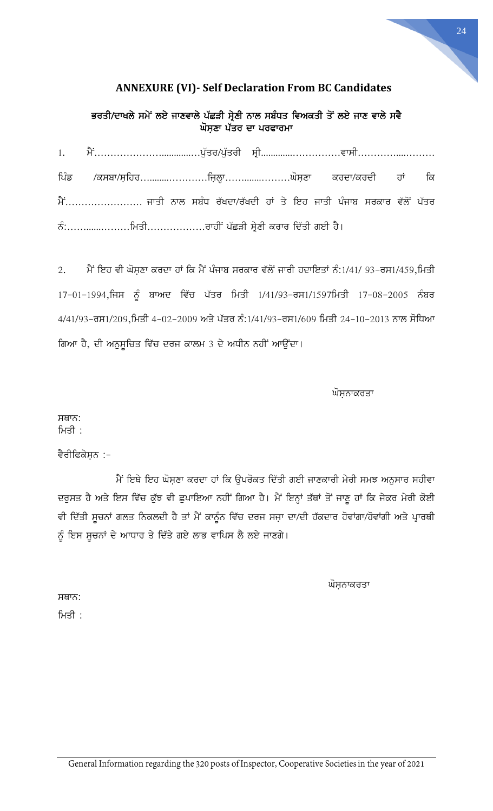# **ANNEXURE (VI)- Self Declaration From BC Candidates**

<span id="page-23-0"></span>ਭਰਤੀ/ਦਾਖਲੇ ਸਮੇਂ ਲਏ ਜਾਣਵਾਲੇ ਪੱਛੜੀ ਸ੍ਰੇਣੀ ਨਾਲ ਸਬੰਧਤ ਵਿਅਕਤੀ ਤੋਂ ਲਏ ਜਾਣ ਵਾਲੇ ਸਵੈ ਘੋਸ਼ਣਾ ਪੱਤਰ ਦਾ ਪਰਫਾਰਮਾ

| 1. ਮੈਂ………………………………ਪੁੱਤਰ/ਪੁੱਤਰੀ ਸ੍ਰੀ……………………………ਵਾਸੀ……………………          |  |  |  |  |
|---------------------------------------------------------------------|--|--|--|--|
| ਪਿੰਡ /ਕਸਬਾ/ਸ਼ਹਿਰਜ਼ਿਲ੍ਹਾਘੋਸ਼ਣਾ ਕਰਦਾ/ਕਰਦੀ ਹਾਂ ਕਿ                      |  |  |  |  |
| ਮੈਂ ਜਾਤੀ ਨਾਲ ਸਬੰਧ ਰੱਖਦਾ/ਰੱਖਦੀ ਹਾਂ ਤੇ ਇਹ ਜਾਤੀ ਪੰਜਾਬ ਸਰਕਾਰ ਵੱਲੋਂ ਪੱਤਰ |  |  |  |  |
|                                                                     |  |  |  |  |

2. ਮੈਂ ਇਹ ਵੀ ਘੋਸਣਾ ਕਰਦਾ ਹਾਂ ਕਿ ਮੈਂ ਪੰਜਾਬ ਸਰਕਾਰ ਵੱਲੋਂ ਜਾਰੀ ਹਦਾਇਤਾਂ ਨੰ:1/41/ 93-ਰਸ1/459,ਮਿਤੀ 17-01-1994,ਜਿਸ ਨੂੰ ਬਾਅਦ ਵਿੱਚ ਪੱਤਰ ਮਿਤੀ 1/41/93-ਰਸ1/1597ਮਿਤੀ 17-08-2005 ਨੰਬਰ  $4/41/93$ –ਰਸ1/209,ਮਿਤੀ 4-02-2009 ਅਤੇ ਪੱਤਰ ਨੰ:1/41/93–ਰਸ1/609 ਮਿਤੀ 24-10-2013 ਨਾਲ ਸੋਧਿਆ ਗਿਆ ਹੈ, ਦੀ ਅਨੁਸੂਚਿਤ ਵਿੱਚ ਦਰਜ ਕਾਲਮ 3 ਦੇ ਅਧੀਨ ਨਹੀਂ ਆਉਂਦਾ।

ਘੋਸ਼ਨਾਕਰਤਾ

24

ਸਥਾਨ: ਮਿਤੀ $\therefore$ 

## ਵੈਰੀਫਿਕੇਸ਼ਨ :-

ਮੈਂ ਇਥੇ ਇਹ ਘੋਸ਼ਣਾ ਕਰਦਾ ਹਾਂ ਕਿ ਉਪਰੋਕਤ ਦਿੱਤੀ ਗਈ ਜਾਣਕਾਰੀ ਮੇਰੀ ਸਮਝ ਅਨੁਸਾਰ ਸਹੀਵਾ ਦਰੁਸਤ ਹੈ ਅਤੇ ਇਸ ਵਿੱਚ ਕੁੱਝ ਵੀ ਛੁਪਾਇਆ ਨਹੀਂ ਗਿਆ ਹੈ। ਮੈਂ ਇਨ੍ਹਾਂ ਤੱਥਾਂ ਤੋਂ ਜਾਣੂ ਹਾਂ ਕਿ ਜੇਕਰ ਮੇਰੀ ਕੋਈ ਵੀ ਦਿੱਤੀ ਸੂਚਨਾਂ ਗਲਤ ਨਿਕਲਦੀ ਹੈ ਤਾਂ ਮੈਂ ਕਾਨੂੰਨ ਵਿੱਚ ਦਰਜ ਸਜ਼ਾ ਦਾ/ਦੀ ਹੱਕਦਾਰ ਹੋਵਾਂਗਾ/ਹੋਵਾਂਗੀ ਅਤੇ ਪ੍ਰਾਰਥੀ ਨੂੰ ਇਸ ਸੂਚਨਾਂ ਦੇ ਆਧਾਰ ਤੇ ਦਿੱਤੇ ਗਏ ਲਾਭ ਵਾਪਿਸ ਲੈ ਲਏ ਜਾਣਗੇ।

ਘੋਸਨਾਕਰਤਾ

ਸਥਾਨ: ਮਿਤੀ $\therefore$